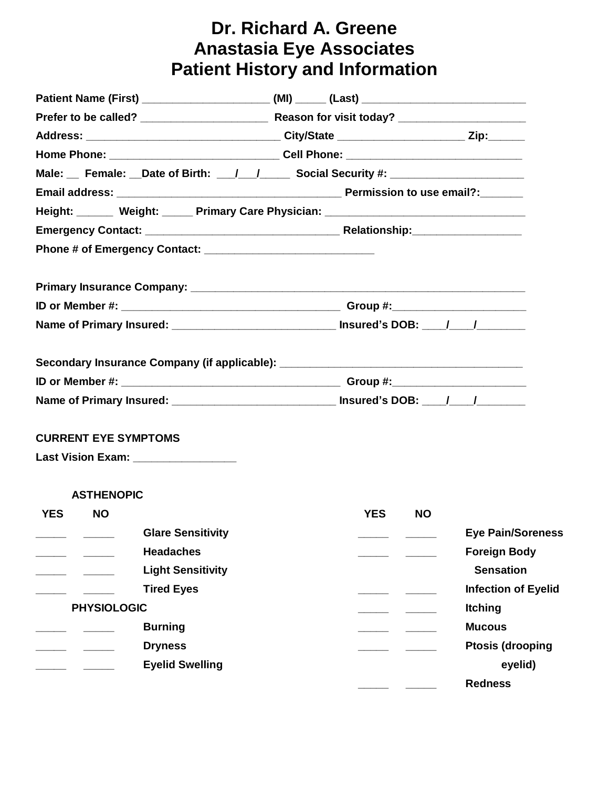# **Dr. Richard A. Greene Anastasia Eye Associates Patient History and Information**

|                                       | Address: __________________________________City/State _______________________Zip:_______             |                            |
|---------------------------------------|------------------------------------------------------------------------------------------------------|----------------------------|
|                                       |                                                                                                      |                            |
|                                       | Male: Female: Date of Birth: \[mathildonglengilary Social Security #: \] ___________________________ |                            |
|                                       |                                                                                                      |                            |
|                                       | Height: Weight: _____ Primary Care Physician: __________________________________                     |                            |
|                                       |                                                                                                      |                            |
|                                       |                                                                                                      |                            |
|                                       |                                                                                                      |                            |
|                                       |                                                                                                      |                            |
|                                       | Name of Primary Insured: _________________________________ Insured's DOB: ____/____/_______________  |                            |
|                                       | Secondary Insurance Company (if applicable): ___________________________________                     |                            |
|                                       |                                                                                                      |                            |
|                                       | Name of Primary Insured: _________________________________ Insured's DOB: ____/____/_______________  |                            |
| <b>CURRENT EYE SYMPTOMS</b>           |                                                                                                      |                            |
| Last Vision Exam: ___________________ |                                                                                                      |                            |
| <b>ASTHENOPIC</b>                     |                                                                                                      |                            |
| <b>YES</b><br><b>NO</b>               | <b>YES</b><br>NO.                                                                                    |                            |
| <b>Glare Sensitivity</b>              |                                                                                                      | <b>Eye Pain/Soreness</b>   |
| <b>Headaches</b>                      |                                                                                                      | <b>Foreign Body</b>        |
| <b>Light Sensitivity</b>              |                                                                                                      | <b>Sensation</b>           |
| <b>Tired Eyes</b>                     |                                                                                                      | <b>Infection of Eyelid</b> |
| <b>PHYSIOLOGIC</b>                    |                                                                                                      | <b>Itching</b>             |
| <b>Burning</b>                        |                                                                                                      | <b>Mucous</b>              |
| <b>Dryness</b>                        |                                                                                                      | <b>Ptosis (drooping</b>    |
| <b>Eyelid Swelling</b>                |                                                                                                      | eyelid)                    |
|                                       |                                                                                                      | <b>Redness</b>             |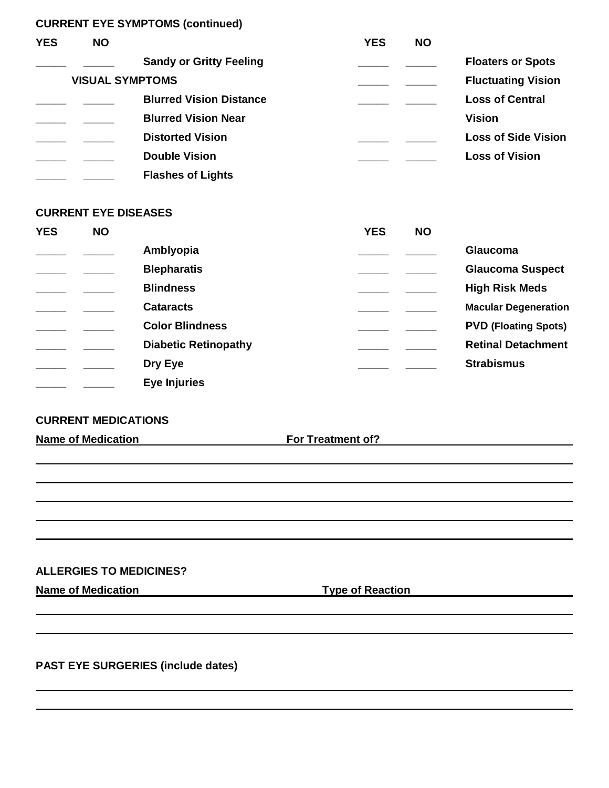**CURRENT EYE SYMPTOMS (continued)**

| <b>YES</b> | <b>NO</b>              |                                | <b>YES</b> | <b>NO</b> |                            |
|------------|------------------------|--------------------------------|------------|-----------|----------------------------|
|            |                        | <b>Sandy or Gritty Feeling</b> |            |           | <b>Floaters or Spots</b>   |
|            | <b>VISUAL SYMPTOMS</b> |                                |            |           | <b>Fluctuating Vision</b>  |
|            |                        | <b>Blurred Vision Distance</b> |            |           | <b>Loss of Central</b>     |
|            |                        | <b>Blurred Vision Near</b>     |            |           | <b>Vision</b>              |
|            |                        | <b>Distorted Vision</b>        |            |           | <b>Loss of Side Vision</b> |
|            |                        | <b>Double Vision</b>           |            |           | <b>Loss of Vision</b>      |
|            |                        | <b>Flashes of Lights</b>       |            |           |                            |

#### **CURRENT EYE DISEASES**

| <b>YES</b> | <b>NO</b> |                             | <b>YES</b> | <b>NO</b> |                             |
|------------|-----------|-----------------------------|------------|-----------|-----------------------------|
|            |           | Amblyopia                   |            |           | Glaucoma                    |
|            |           | <b>Blepharatis</b>          |            |           | <b>Glaucoma Suspect</b>     |
|            |           | <b>Blindness</b>            |            |           | <b>High Risk Meds</b>       |
|            |           | <b>Cataracts</b>            |            |           | <b>Macular Degeneration</b> |
|            |           | <b>Color Blindness</b>      |            |           | <b>PVD (Floating Spots)</b> |
|            |           | <b>Diabetic Retinopathy</b> |            |           | <b>Retinal Detachment</b>   |
|            |           | Dry Eye                     |            |           | <b>Strabismus</b>           |
|            |           | <b>Eye Injuries</b>         |            |           |                             |

#### **CURRENT MEDICATIONS**

**Name of Medication For Treatment of?**

#### **ALLERGIES TO MEDICINES?**

**Name of Medication Type of Reaction**

**PAST EYE SURGERIES (include dates)**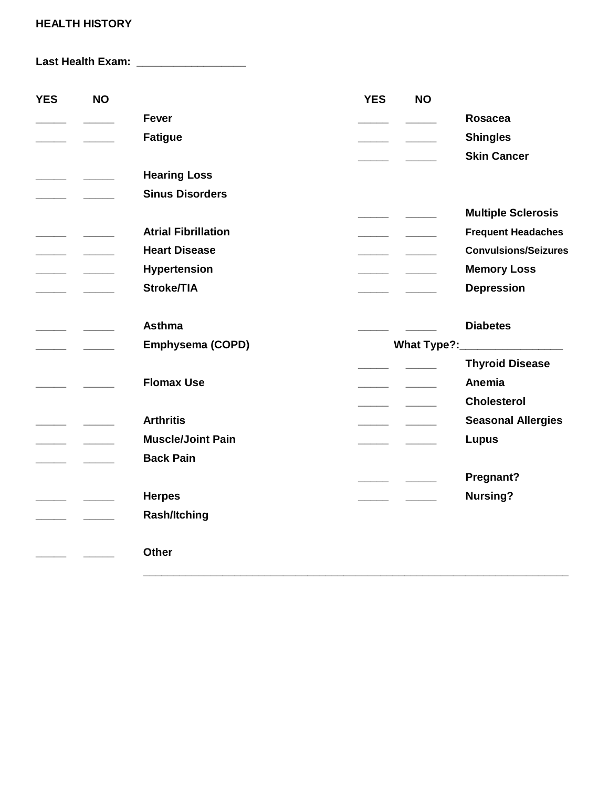## **HEALTH HISTORY**

**Last Health Exam: \_\_\_\_\_\_\_\_\_\_\_\_\_\_\_\_\_\_**

| <b>YES</b>               | <b>NO</b>                                         |                            | <b>YES</b>               | <b>NO</b> |                                |
|--------------------------|---------------------------------------------------|----------------------------|--------------------------|-----------|--------------------------------|
|                          |                                                   | <b>Fever</b>               |                          |           | <b>Rosacea</b>                 |
|                          |                                                   | <b>Fatigue</b>             | $\frac{1}{1}$            |           | <b>Shingles</b>                |
|                          |                                                   |                            |                          |           | <b>Skin Cancer</b>             |
|                          |                                                   | <b>Hearing Loss</b>        |                          |           |                                |
|                          |                                                   | <b>Sinus Disorders</b>     |                          |           |                                |
|                          |                                                   |                            |                          |           | <b>Multiple Sclerosis</b>      |
|                          |                                                   | <b>Atrial Fibrillation</b> | $\overline{\phantom{a}}$ |           | <b>Frequent Headaches</b>      |
| $\overline{\phantom{a}}$ |                                                   | <b>Heart Disease</b>       |                          |           | <b>Convulsions/Seizures</b>    |
|                          |                                                   | <b>Hypertension</b>        |                          |           | <b>Memory Loss</b>             |
| <u> Communication</u>    |                                                   | Stroke/TIA                 |                          |           | <b>Depression</b>              |
|                          |                                                   |                            |                          |           |                                |
|                          | $\overline{\phantom{a}}$ $\overline{\phantom{a}}$ | <b>Asthma</b>              |                          |           | <b>Diabetes</b>                |
| $\overline{\phantom{a}}$ |                                                   | <b>Emphysema (COPD)</b>    |                          |           | What Type?:___________________ |
|                          |                                                   |                            |                          |           | <b>Thyroid Disease</b>         |
|                          |                                                   | <b>Flomax Use</b>          |                          |           | Anemia                         |
|                          |                                                   |                            | $\overline{\phantom{a}}$ |           | <b>Cholesterol</b>             |
|                          |                                                   | <b>Arthritis</b>           |                          |           | <b>Seasonal Allergies</b>      |
| <u>and the state</u>     |                                                   | <b>Muscle/Joint Pain</b>   |                          |           | <b>Lupus</b>                   |
| $\overline{\phantom{a}}$ |                                                   | <b>Back Pain</b>           |                          |           |                                |
|                          |                                                   |                            |                          |           | Pregnant?                      |
|                          |                                                   | <b>Herpes</b>              |                          |           | <b>Nursing?</b>                |
|                          |                                                   | <b>Rash/Itching</b>        |                          |           |                                |
|                          |                                                   |                            |                          |           |                                |
|                          |                                                   | <b>Other</b>               |                          |           |                                |
|                          |                                                   |                            |                          |           |                                |